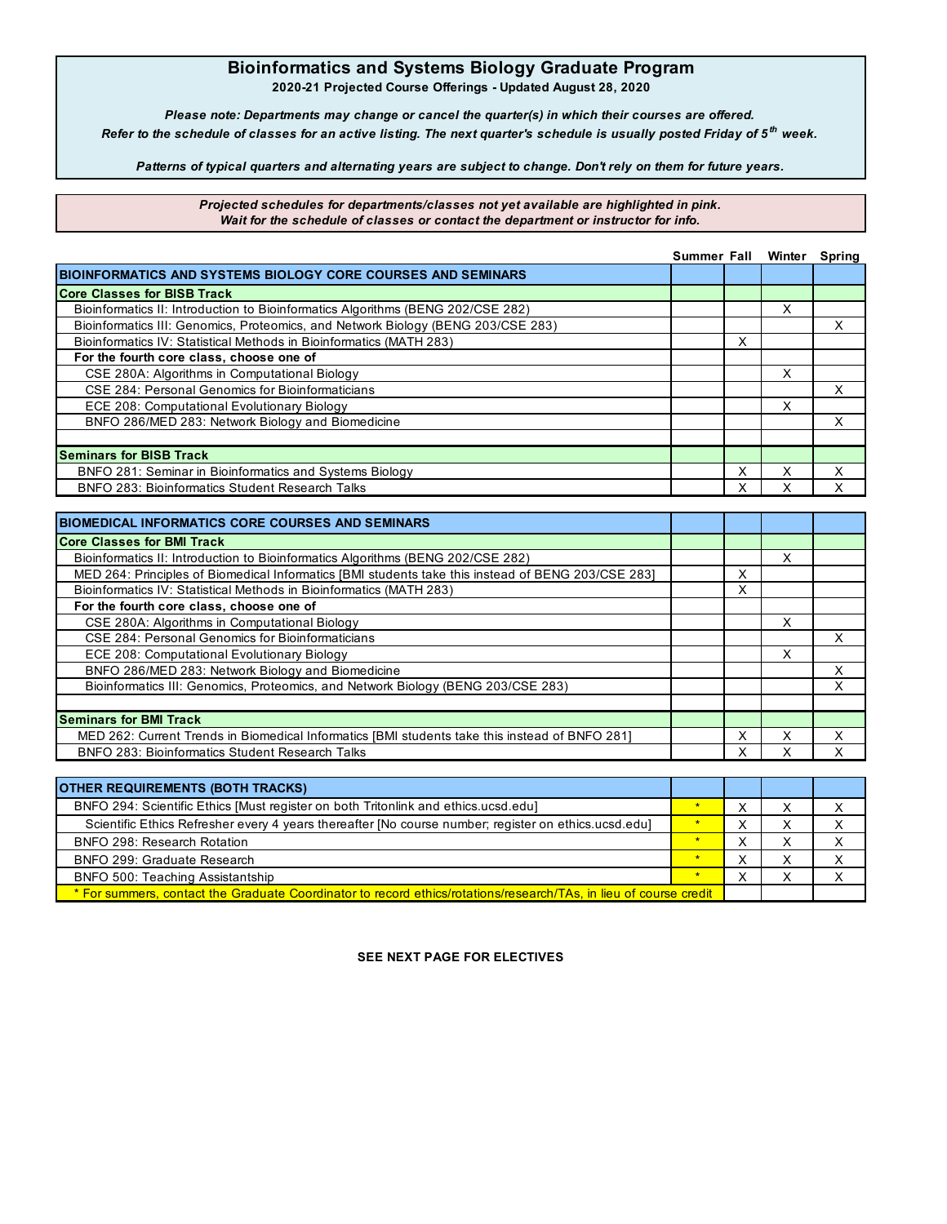## **Bioinformatics and Systems Biology Graduate Program**

**2020-21 Projected Course Offerings - Updated August 28, 2020**

*Please note: Departments may change or cancel the quarter(s) in which their courses are offered. Refer to the schedule of classes for an active listing. The next quarter's schedule is usually posted Friday of 5 th week.*

*Patterns of typical quarters and alternating years are subject to change. Don't rely on them for future years.*

*Projected schedules for departments/classes not yet available are highlighted in pink. Wait for the schedule of classes or contact the department or instructor for info.*

|                                                                                  | Summer Fall Winter |   |   | Spring |
|----------------------------------------------------------------------------------|--------------------|---|---|--------|
| BIOINFORMATICS AND SYSTEMS BIOLOGY CORE COURSES AND SEMINARS                     |                    |   |   |        |
| <b>Core Classes for BISB Track</b>                                               |                    |   |   |        |
| Bioinformatics II: Introduction to Bioinformatics Algorithms (BENG 202/CSE 282)  |                    |   | X |        |
| Bioinformatics III: Genomics, Proteomics, and Network Biology (BENG 203/CSE 283) |                    |   |   |        |
| Bioinformatics IV: Statistical Methods in Bioinformatics (MATH 283)              |                    | Χ |   |        |
| For the fourth core class, choose one of                                         |                    |   |   |        |
| CSE 280A: Algorithms in Computational Biology                                    |                    |   | x |        |
| CSE 284: Personal Genomics for Bioinformaticians                                 |                    |   |   |        |
| ECE 208: Computational Evolutionary Biology                                      |                    |   | X |        |
| BNFO 286/MED 283: Network Biology and Biomedicine                                |                    |   |   |        |
|                                                                                  |                    |   |   |        |
| <b>Seminars for BISB Track</b>                                                   |                    |   |   |        |
| BNFO 281: Seminar in Bioinformatics and Systems Biology                          |                    |   |   |        |
| <b>BNFO 283: Bioinformatics Student Research Talks</b>                           |                    |   |   |        |

| <b>BIOMEDICAL INFORMATICS CORE COURSES AND SEMINARS</b>                                            |   |   |   |
|----------------------------------------------------------------------------------------------------|---|---|---|
| <b>Core Classes for BMI Track</b>                                                                  |   |   |   |
| Bioinformatics II: Introduction to Bioinformatics Algorithms (BENG 202/CSE 282)                    |   | X |   |
| MED 264: Principles of Biomedical Informatics [BMI students take this instead of BENG 203/CSE 283] | x |   |   |
| Bioinformatics IV: Statistical Methods in Bioinformatics (MATH 283)                                | х |   |   |
| For the fourth core class, choose one of                                                           |   |   |   |
| CSE 280A: Algorithms in Computational Biology                                                      |   | X |   |
| CSE 284: Personal Genomics for Bioinformaticians                                                   |   |   | x |
| ECE 208: Computational Evolutionary Biology                                                        |   | X |   |
| BNFO 286/MED 283: Network Biology and Biomedicine                                                  |   |   |   |
| Bioinformatics III: Genomics, Proteomics, and Network Biology (BENG 203/CSE 283)                   |   |   |   |
|                                                                                                    |   |   |   |
| <b>Seminars for BMI Track</b>                                                                      |   |   |   |
| MED 262: Current Trends in Biomedical Informatics [BMI students take this instead of BNFO 281]     | x | х |   |
| <b>BNFO 283: Bioinformatics Student Research Talks</b>                                             |   |   |   |
|                                                                                                    |   |   |   |

| <b>OTHER REQUIREMENTS (BOTH TRACKS)</b>                                                                           |  |  |  |
|-------------------------------------------------------------------------------------------------------------------|--|--|--|
| BNFO 294: Scientific Ethics [Must register on both Tritonlink and ethics.ucsd.edu]                                |  |  |  |
| Scientific Ethics Refresher every 4 years thereafter [No course number; register on ethics.ucsd.edu]              |  |  |  |
| BNFO 298: Research Rotation                                                                                       |  |  |  |
| BNFO 299: Graduate Research                                                                                       |  |  |  |
| BNFO 500: Teaching Assistantship                                                                                  |  |  |  |
| * For summers, contact the Graduate Coordinator to record ethics/rotations/research/TAs, in lieu of course credit |  |  |  |

**SEE NEXT PAGE FOR ELECTIVES**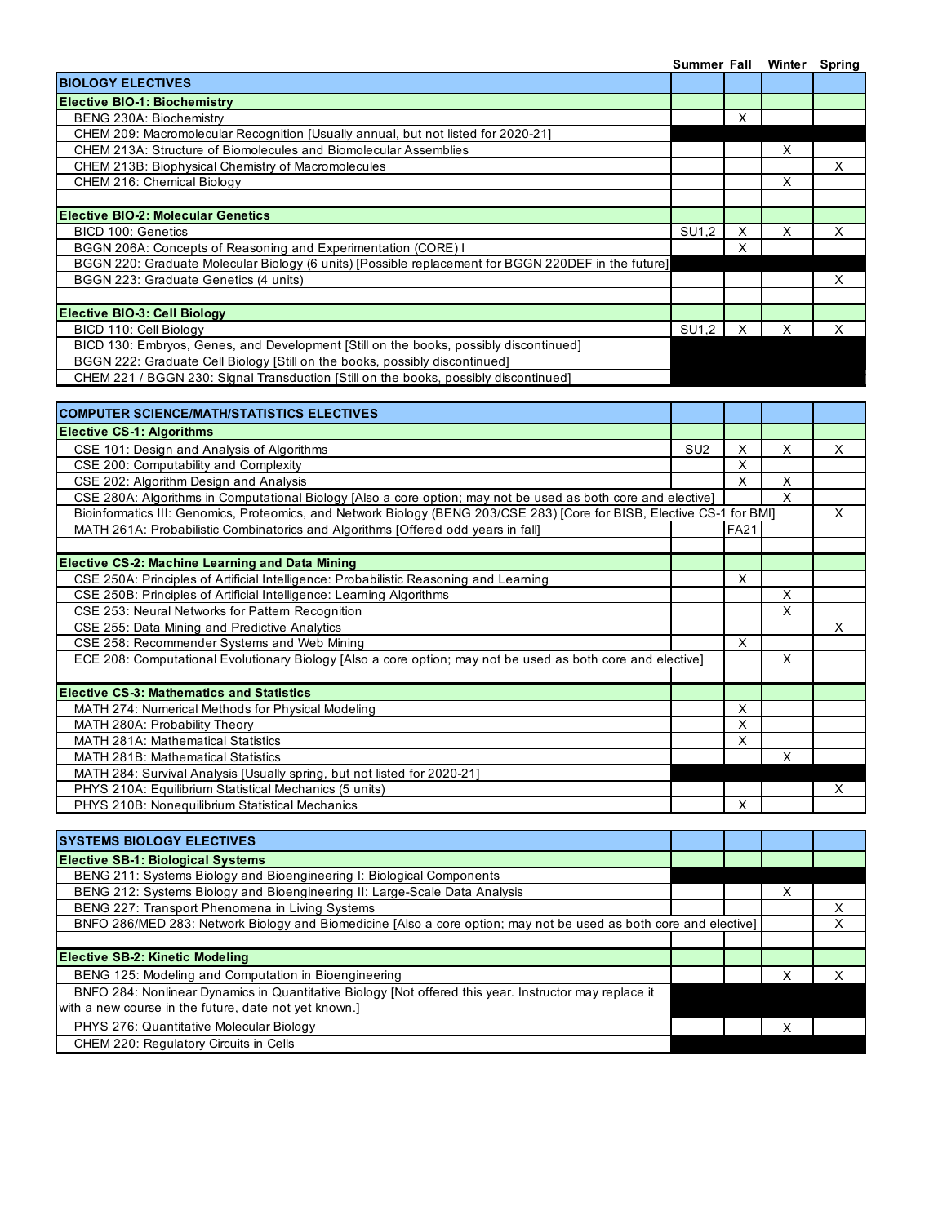|                                                                                                      | Summer Fall |   |   | Winter Spring |
|------------------------------------------------------------------------------------------------------|-------------|---|---|---------------|
| <b>BIOLOGY ELECTIVES</b>                                                                             |             |   |   |               |
| <b>Elective BIO-1: Biochemistry</b>                                                                  |             |   |   |               |
| BENG 230A: Biochemistry                                                                              |             |   |   |               |
| CHEM 209: Macromolecular Recognition [Usually annual, but not listed for 2020-21]                    |             |   |   |               |
| CHEM 213A: Structure of Biomolecules and Biomolecular Assemblies                                     |             |   | X |               |
| CHEM 213B: Biophysical Chemistry of Macromolecules                                                   |             |   |   | x             |
| CHEM 216: Chemical Biology                                                                           |             |   | X |               |
|                                                                                                      |             |   |   |               |
| <b>IElective BIO-2: Molecular Genetics</b>                                                           |             |   |   |               |
| BICD 100: Genetics                                                                                   | SU1.2       |   | X | x             |
| BGGN 206A: Concepts of Reasoning and Experimentation (CORE) I                                        |             |   |   |               |
| BGGN 220: Graduate Molecular Biology (6 units) [Possible replacement for BGGN 220DEF in the future]] |             |   |   |               |
| BGGN 223: Graduate Genetics (4 units)                                                                |             |   |   | X.            |
|                                                                                                      |             |   |   |               |
| Elective BIO-3: Cell Biology                                                                         |             |   |   |               |
| BICD 110: Cell Biology                                                                               | SU1,2       | x | X | х             |
| BICD 130: Embryos, Genes, and Development [Still on the books, possibly discontinued]                |             |   |   |               |
| BGGN 222: Graduate Cell Biology [Still on the books, possibly discontinued]                          |             |   |   |               |
| CHEM 221 / BGGN 230: Signal Transduction [Still on the books, possibly discontinued]                 |             |   |   |               |
|                                                                                                      |             |   |   |               |
|                                                                                                      |             |   |   |               |

| <b>COMPUTER SCIENCE/MATH/STATISTICS ELECTIVES</b>                                                                       |                 |             |   |   |
|-------------------------------------------------------------------------------------------------------------------------|-----------------|-------------|---|---|
| <b>Elective CS-1: Algorithms</b>                                                                                        |                 |             |   |   |
| CSE 101: Design and Analysis of Algorithms                                                                              | SU <sub>2</sub> | X           | X | X |
| CSE 200: Computability and Complexity                                                                                   |                 | X           |   |   |
| CSE 202: Algorithm Design and Analysis                                                                                  |                 | X           | X |   |
| CSE 280A: Algorithms in Computational Biology [Also a core option; may not be used as both core and elective]           |                 |             | X |   |
| Bioinformatics III: Genomics, Proteomics, and Network Biology (BENG 203/CSE 283) [Core for BISB, Elective CS-1 for BMI] |                 |             |   | X |
| MATH 261A: Probabilistic Combinatorics and Algorithms [Offered odd years in fall]                                       |                 | <b>FA21</b> |   |   |
|                                                                                                                         |                 |             |   |   |
| <b>Elective CS-2: Machine Learning and Data Mining</b>                                                                  |                 |             |   |   |
| CSE 250A: Principles of Artificial Intelligence: Probabilistic Reasoning and Learning                                   |                 | X           |   |   |
| CSE 250B: Principles of Artificial Intelligence: Learning Algorithms                                                    |                 |             | X |   |
| CSE 253: Neural Networks for Pattern Recognition                                                                        |                 |             | X |   |
| CSE 255: Data Mining and Predictive Analytics                                                                           |                 |             |   | X |
| CSE 258: Recommender Systems and Web Mining                                                                             |                 | X           |   |   |
| ECE 208: Computational Evolutionary Biology [Also a core option; may not be used as both core and elective]             |                 |             | X |   |
|                                                                                                                         |                 |             |   |   |
| <b>Elective CS-3: Mathematics and Statistics</b>                                                                        |                 |             |   |   |
| MATH 274: Numerical Methods for Physical Modeling                                                                       |                 | X           |   |   |
| MATH 280A: Probability Theory                                                                                           |                 | X           |   |   |
| <b>MATH 281A: Mathematical Statistics</b>                                                                               |                 | X           |   |   |
| <b>MATH 281B: Mathematical Statistics</b>                                                                               |                 |             | X |   |
| MATH 284: Survival Analysis [Usually spring, but not listed for 2020-21]                                                |                 |             |   |   |
| PHYS 210A: Equilibrium Statistical Mechanics (5 units)                                                                  |                 |             |   | X |
| PHYS 210B: Nonequilibrium Statistical Mechanics                                                                         |                 | X           |   |   |

| <b>ISYSTEMS BIOLOGY ELECTIVES</b>                                                                                 |  |  |   |  |
|-------------------------------------------------------------------------------------------------------------------|--|--|---|--|
| <b>Elective SB-1: Biological Systems</b>                                                                          |  |  |   |  |
| BENG 211: Systems Biology and Bioengineering I: Biological Components                                             |  |  |   |  |
| BENG 212: Systems Biology and Bioengineering II: Large-Scale Data Analysis                                        |  |  | х |  |
| BENG 227: Transport Phenomena in Living Systems                                                                   |  |  |   |  |
| BNFO 286/MED 283: Network Biology and Biomedicine [Also a core option; may not be used as both core and elective] |  |  |   |  |
|                                                                                                                   |  |  |   |  |
| <b>Elective SB-2: Kinetic Modeling</b>                                                                            |  |  |   |  |
| BENG 125: Modeling and Computation in Bioengineering                                                              |  |  |   |  |
| BNFO 284: Nonlinear Dynamics in Quantitative Biology [Not offered this year. Instructor may replace it            |  |  |   |  |
| with a new course in the future, date not yet known.]                                                             |  |  |   |  |
| PHYS 276: Quantitative Molecular Biology                                                                          |  |  | х |  |
| CHEM 220: Regulatory Circuits in Cells                                                                            |  |  |   |  |